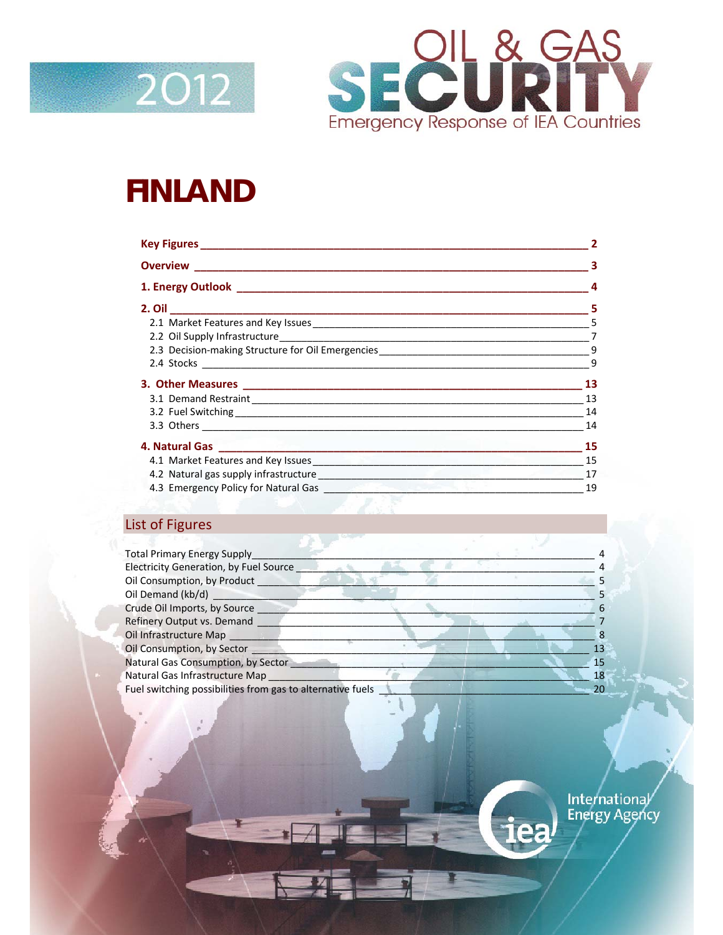



# **FINLAND**

| 2.3 Decision-making Structure for Oil Emergencies________________________________                                            | 9  |  |  |
|------------------------------------------------------------------------------------------------------------------------------|----|--|--|
|                                                                                                                              | 9  |  |  |
|                                                                                                                              | 13 |  |  |
|                                                                                                                              | 13 |  |  |
|                                                                                                                              | 14 |  |  |
|                                                                                                                              | 14 |  |  |
|                                                                                                                              | 15 |  |  |
| 4.1 Market Features and Key Issues<br>1988 - The Market Seatures and Key Issues<br>1988 - The Market Seatures and Key Issues | 15 |  |  |
| 4.2 Natural gas supply infrastructure entrance and the set of the set of the set of the set of the set of the                | 17 |  |  |
|                                                                                                                              | 19 |  |  |
|                                                                                                                              |    |  |  |

### List of Figures

| <b>Total Primary Energy Supply</b>                         |  |    |
|------------------------------------------------------------|--|----|
| Electricity Generation, by Fuel Source                     |  |    |
| Oil Consumption, by Product                                |  |    |
| Oil Demand (kb/d)                                          |  |    |
| Crude Oil Imports, by Source                               |  |    |
| <b>Refinery Output vs. Demand</b>                          |  |    |
| Oil Infrastructure Map                                     |  |    |
| Oil Consumption, by Sector                                 |  |    |
| Natural Gas Consumption, by Sector                         |  | 15 |
| Natural Gas Infrastructure Map                             |  |    |
| Fuel switching possibilities from gas to alternative fuels |  |    |
|                                                            |  |    |

International

iea<sup>/</sup>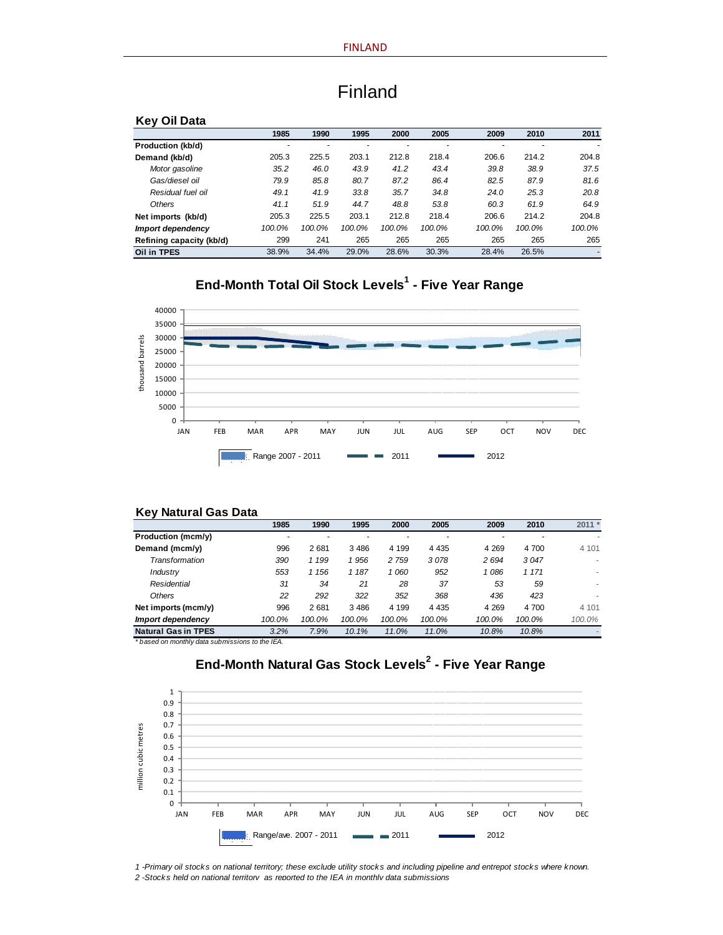| <b>Kev</b><br>Oil Data   |        |        |        |        |        |        |        |        |
|--------------------------|--------|--------|--------|--------|--------|--------|--------|--------|
|                          | 1985   | 1990   | 1995   | 2000   | 2005   | 2009   | 2010   | 2011   |
| Production (kb/d)        | ۰      |        |        |        |        |        |        |        |
| Demand (kb/d)            | 205.3  | 225.5  | 203.1  | 212.8  | 218.4  | 206.6  | 214.2  | 204.8  |
| Motor gasoline           | 35.2   | 46.0   | 43.9   | 41.2   | 43.4   | 39.8   | 38.9   | 37.5   |
| Gas/diesel oil           | 79.9   | 85.8   | 80.7   | 87.2   | 86.4   | 82.5   | 87.9   | 81.6   |
| Residual fuel oil        | 49.1   | 41.9   | 33.8   | 35.7   | 34.8   | 24.0   | 25.3   | 20.8   |
| Others                   | 41.1   | 51.9   | 44.7   | 48.8   | 53.8   | 60.3   | 61.9   | 64.9   |
| Net imports (kb/d)       | 205.3  | 225.5  | 203.1  | 212.8  | 218.4  | 206.6  | 214.2  | 204.8  |
| Import dependency        | 100.0% | 100.0% | 100.0% | 100.0% | 100.0% | 100.0% | 100.0% | 100.0% |
| Refining capacity (kb/d) | 299    | 241    | 265    | 265    | 265    | 265    | 265    | 265    |
| Oil in TPES              | 38.9%  | 34.4%  | 29.0%  | 28.6%  | 30.3%  | 28.4%  | 26.5%  |        |

### Finland

### **End-Month Total Oil Stock Levels<sup>1</sup> - Five Year Range**



#### **Key Natural Gas Data**

|                            | 1985   | 1990    | 1995    | 2000    | 2005    | 2009    | 2010    | $2011 *$ |
|----------------------------|--------|---------|---------|---------|---------|---------|---------|----------|
| Production (mcm/y)         |        |         |         |         |         |         |         |          |
| Demand (mcm/y)             | 996    | 2681    | 3 4 8 6 | 4 1 9 9 | 4 4 3 5 | 4 2 6 9 | 4 700   | 4 101    |
| Transformation             | 390    | 1 199   | 1956    | 2 759   | 3078    | 2 6 9 4 | 3047    |          |
| Industry                   | 553    | 1 1 5 6 | 1 187   | 1 060   | 952     | 1086    | 1 1 7 1 |          |
| Residential                | 31     | 34      | 21      | 28      | 37      | 53      | 59      | ٠        |
| Others                     | 22     | 292     | 322     | 352     | 368     | 436     | 423     |          |
| Net imports (mcm/y)        | 996    | 2681    | 3 4 8 6 | 4 1 9 9 | 4 4 3 5 | 4 2 6 9 | 4 700   | 4 101    |
| Import dependency          | 100.0% | 100.0%  | 100.0%  | 100.0%  | 100.0%  | 100.0%  | 100.0%  | 100.0%   |
| <b>Natural Gas in TPES</b> | 3.2%   | 7.9%    | 10.1%   | 11.0%   | 11.0%   | 10.8%   | 10.8%   |          |

*\* based on monthly data submissions to the IEA.*

#### **End-Month Natural Gas Stock Levels<sup>2</sup> - Five Year Range**



*1 -Primary oil stocks on national territory; these exclude utility stocks and including pipeline and entrepot stocks where known.*

*2 -Stocks held on national territory as reported to the IEA in monthly data submissions*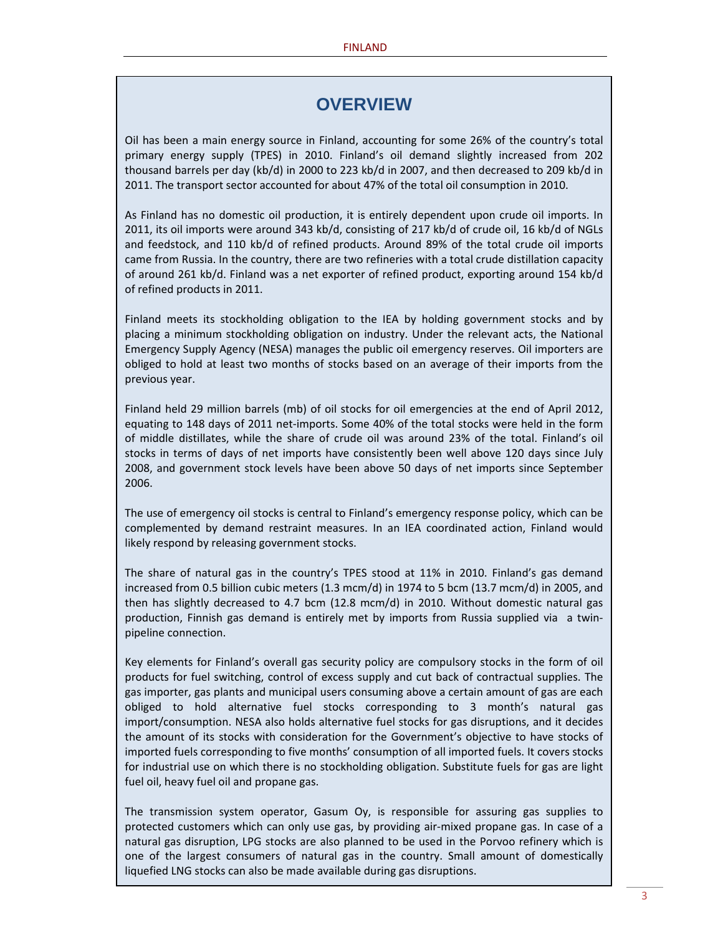### **OVERVIEW**

Oil has been a main energy source in Finland, accounting for some 26% of the country's total primary energy supply (TPES) in 2010. Finland's oil demand slightly increased from 202 thousand barrels per day (kb/d) in 2000 to 223 kb/d in 2007, and then decreased to 209 kb/d in 2011. The transport sector accounted for about 47% of the total oil consumption in 2010.

As Finland has no domestic oil production, it is entirely dependent upon crude oil imports. In 2011, its oil imports were around 343 kb/d, consisting of 217 kb/d of crude oil, 16 kb/d of NGLs and feedstock, and 110 kb/d of refined products. Around 89% of the total crude oil imports came from Russia. In the country, there are two refineries with a total crude distillation capacity of around 261 kb/d. Finland was a net exporter of refined product, exporting around 154 kb/d of refined products in 2011.

Finland meets its stockholding obligation to the IEA by holding government stocks and by placing a minimum stockholding obligation on industry. Under the relevant acts, the National Emergency Supply Agency (NESA) manages the public oil emergency reserves. Oil importers are obliged to hold at least two months of stocks based on an average of their imports from the previous year.

Finland held 29 million barrels (mb) of oil stocks for oil emergencies at the end of April 2012, equating to 148 days of 2011 net‐imports. Some 40% of the total stocks were held in the form of middle distillates, while the share of crude oil was around 23% of the total. Finland's oil stocks in terms of days of net imports have consistently been well above 120 days since July 2008, and government stock levels have been above 50 days of net imports since September 2006.

The use of emergency oil stocks is central to Finland's emergency response policy, which can be complemented by demand restraint measures. In an IEA coordinated action, Finland would likely respond by releasing government stocks.

The share of natural gas in the country's TPES stood at 11% in 2010. Finland's gas demand increased from 0.5 billion cubic meters (1.3 mcm/d) in 1974 to 5 bcm (13.7 mcm/d) in 2005, and then has slightly decreased to 4.7 bcm (12.8 mcm/d) in 2010. Without domestic natural gas production, Finnish gas demand is entirely met by imports from Russia supplied via a twinpipeline connection.

Key elements for Finland's overall gas security policy are compulsory stocks in the form of oil products for fuel switching, control of excess supply and cut back of contractual supplies. The gas importer, gas plants and municipal users consuming above a certain amount of gas are each obliged to hold alternative fuel stocks corresponding to 3 month's natural gas import/consumption. NESA also holds alternative fuel stocks for gas disruptions, and it decides the amount of its stocks with consideration for the Government's objective to have stocks of imported fuels corresponding to five months' consumption of all imported fuels. It covers stocks for industrial use on which there is no stockholding obligation. Substitute fuels for gas are light fuel oil, heavy fuel oil and propane gas.

The transmission system operator, Gasum Oy, is responsible for assuring gas supplies to protected customers which can only use gas, by providing air‐mixed propane gas. In case of a natural gas disruption, LPG stocks are also planned to be used in the Porvoo refinery which is one of the largest consumers of natural gas in the country. Small amount of domestically liquefied LNG stocks can also be made available during gas disruptions.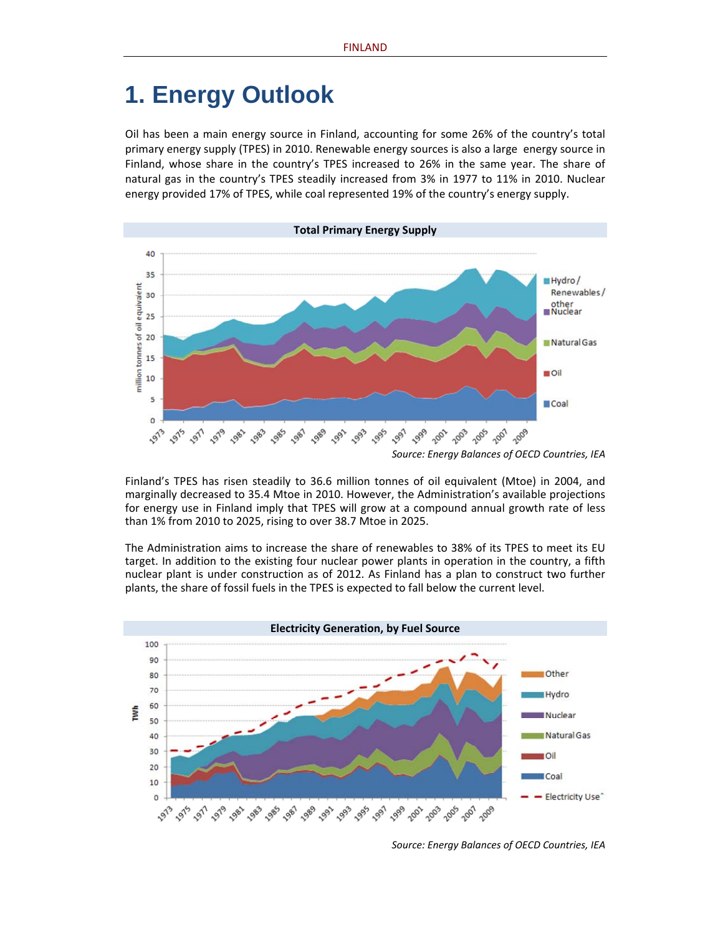# **1. Energy Outlook**

Oil has been a main energy source in Finland, accounting for some 26% of the country's total primary energy supply (TPES) in 2010. Renewable energy sources is also a large energy source in Finland, whose share in the country's TPES increased to 26% in the same year. The share of natural gas in the country's TPES steadily increased from 3% in 1977 to 11% in 2010. Nuclear energy provided 17% of TPES, while coal represented 19% of the country's energy supply.



Finland's TPES has risen steadily to 36.6 million tonnes of oil equivalent (Mtoe) in 2004, and marginally decreased to 35.4 Mtoe in 2010. However, the Administration's available projections for energy use in Finland imply that TPES will grow at a compound annual growth rate of less than 1% from 2010 to 2025, rising to over 38.7 Mtoe in 2025.

The Administration aims to increase the share of renewables to 38% of its TPES to meet its EU target. In addition to the existing four nuclear power plants in operation in the country, a fifth nuclear plant is under construction as of 2012. As Finland has a plan to construct two further plants, the share of fossil fuels in the TPES is expected to fall below the current level.



*Source: Energy Balances of OECD Countries, IEA*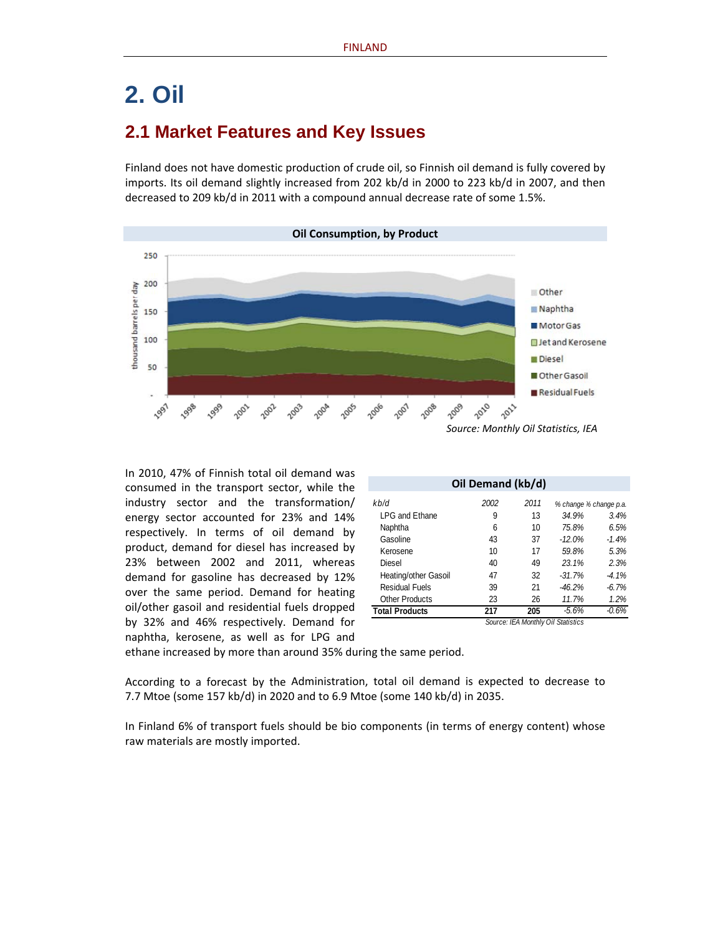# **2. Oil**

### **2.1 Market Features and Key Issues**

Finland does not have domestic production of crude oil, so Finnish oil demand is fully covered by imports. Its oil demand slightly increased from 202 kb/d in 2000 to 223 kb/d in 2007, and then decreased to 209 kb/d in 2011 with a compound annual decrease rate of some 1.5%.



In 2010, 47% of Finnish total oil demand was consumed in the transport sector, while the industry sector and the transformation/ energy sector accounted for 23% and 14% respectively. In terms of oil demand by product, demand for diesel has increased by 23% between 2002 and 2011, whereas demand for gasoline has decreased by 12% over the same period. Demand for heating oil/other gasoil and residential fuels dropped by 32% and 46% respectively. Demand for naphtha, kerosene, as well as for LPG and

| Oil Demand (kb/d)     |      |      |          |                        |  |  |  |
|-----------------------|------|------|----------|------------------------|--|--|--|
| kb/d                  | 2002 | 2011 |          | % change % change p.a. |  |  |  |
| LPG and Ethane        | 9    | 13   | 34.9%    | 3.4%                   |  |  |  |
| Naphtha               | 6    | 10   | 75.8%    | 6.5%                   |  |  |  |
| Gasoline              | 43   | 37   | $-12.0%$ | $-1.4%$                |  |  |  |
| Kerosene              | 10   | 17   | 59.8%    | 5.3%                   |  |  |  |
| Diesel                | 40   | 49   | 23.1%    | 2.3%                   |  |  |  |
| Heating/other Gasoil  | 47   | 32   | $-31.7%$ | $-4.1%$                |  |  |  |
| <b>Residual Fuels</b> | 39   | 21   | $-46.2%$ | $-6.7%$                |  |  |  |
| <b>Other Products</b> | 23   | 26   | 11.7%    | 1.2%                   |  |  |  |
| <b>Total Products</b> | 217  | 205  | $-5.6%$  | $-0.6%$                |  |  |  |

*Source: IEA Monthly Oil Statistics*

ethane increased by more than around 35% during the same period.

According to a forecast by the Administration, total oil demand is expected to decrease to 7.7 Mtoe (some 157 kb/d) in 2020 and to 6.9 Mtoe (some 140 kb/d) in 2035.

In Finland 6% of transport fuels should be bio components (in terms of energy content) whose raw materials are mostly imported.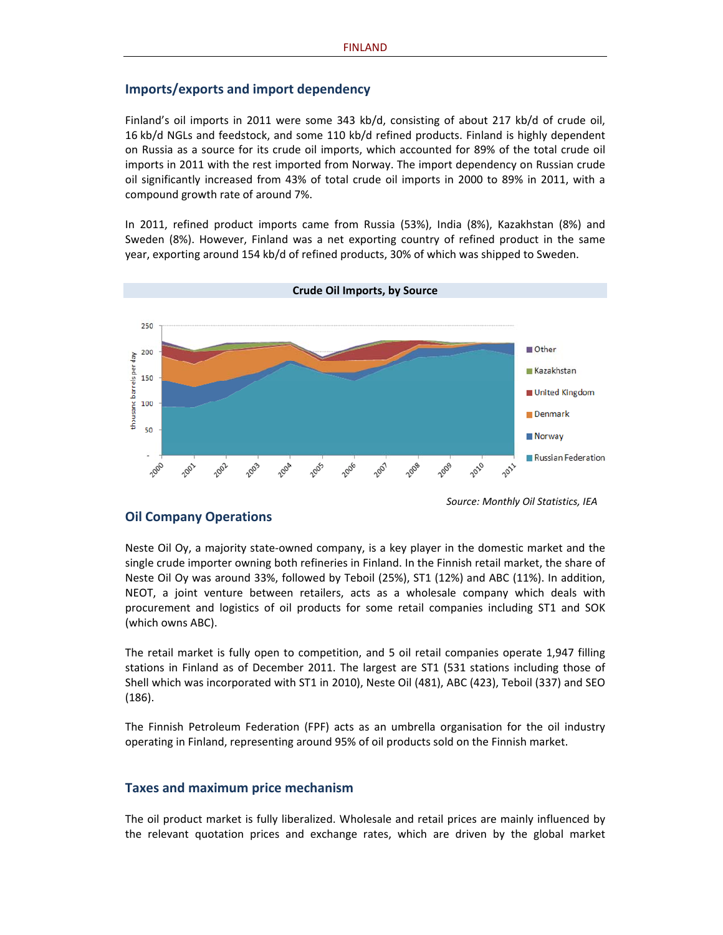#### **Imports/exports and import dependency**

Finland's oil imports in 2011 were some 343 kb/d, consisting of about 217 kb/d of crude oil, 16 kb/d NGLs and feedstock, and some 110 kb/d refined products. Finland is highly dependent on Russia as a source for its crude oil imports, which accounted for 89% of the total crude oil imports in 2011 with the rest imported from Norway. The import dependency on Russian crude oil significantly increased from 43% of total crude oil imports in 2000 to 89% in 2011, with a compound growth rate of around 7%.

In 2011, refined product imports came from Russia (53%), India (8%), Kazakhstan (8%) and Sweden (8%). However, Finland was a net exporting country of refined product in the same year, exporting around 154 kb/d of refined products, 30% of which was shipped to Sweden.



*Source: Monthly Oil Statistics, IEA*

#### **Oil Company Operations**

Neste Oil Oy, a majority state‐owned company, is a key player in the domestic market and the single crude importer owning both refineries in Finland. In the Finnish retail market, the share of Neste Oil Oy was around 33%, followed by Teboil (25%), ST1 (12%) and ABC (11%). In addition, NEOT, a joint venture between retailers, acts as a wholesale company which deals with procurement and logistics of oil products for some retail companies including ST1 and SOK (which owns ABC).

The retail market is fully open to competition, and 5 oil retail companies operate 1,947 filling stations in Finland as of December 2011. The largest are ST1 (531 stations including those of Shell which was incorporated with ST1 in 2010), Neste Oil (481), ABC (423), Teboil (337) and SEO (186).

The Finnish Petroleum Federation (FPF) acts as an umbrella organisation for the oil industry operating in Finland, representing around 95% of oil products sold on the Finnish market.

#### **Taxes and maximum price mechanism**

The oil product market is fully liberalized. Wholesale and retail prices are mainly influenced by the relevant quotation prices and exchange rates, which are driven by the global market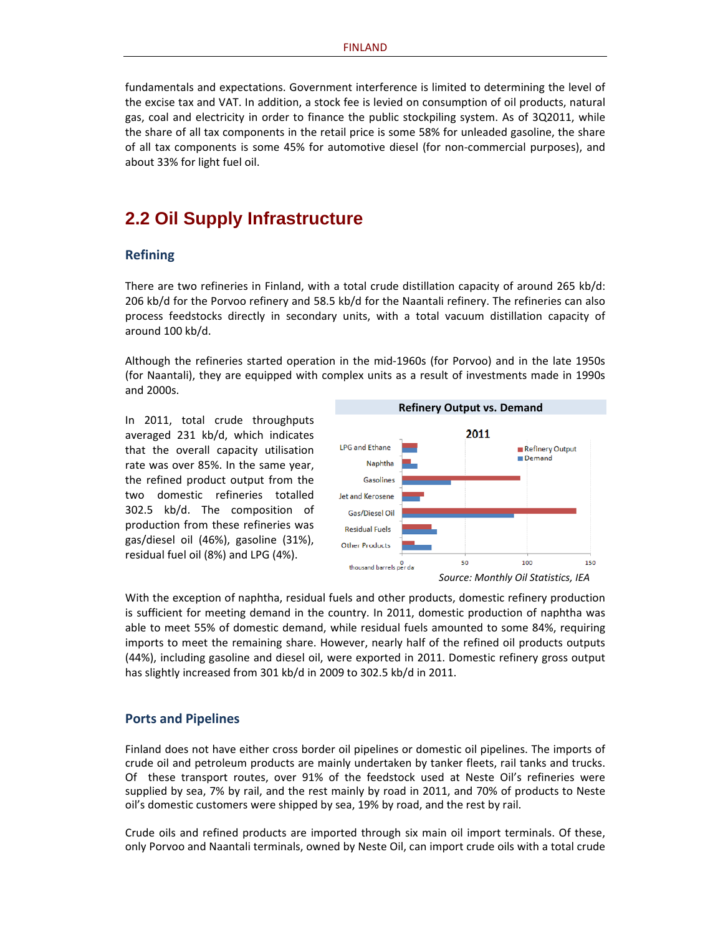fundamentals and expectations. Government interference is limited to determining the level of the excise tax and VAT. In addition, a stock fee is levied on consumption of oil products, natural gas, coal and electricity in order to finance the public stockpiling system. As of 3Q2011, while the share of all tax components in the retail price is some 58% for unleaded gasoline, the share of all tax components is some 45% for automotive diesel (for non‐commercial purposes), and about 33% for light fuel oil.

### **2.2 Oil Supply Infrastructure**

#### **Refining**

There are two refineries in Finland, with a total crude distillation capacity of around 265 kb/d: 206 kb/d for the Porvoo refinery and 58.5 kb/d for the Naantali refinery. The refineries can also process feedstocks directly in secondary units, with a total vacuum distillation capacity of around 100 kb/d.

Although the refineries started operation in the mid‐1960s (for Porvoo) and in the late 1950s (for Naantali), they are equipped with complex units as a result of investments made in 1990s and 2000s.

In 2011, total crude throughputs averaged 231 kb/d, which indicates that the overall capacity utilisation rate was over 85%. In the same year, the refined product output from the two domestic refineries totalled 302.5 kb/d. The composition of production from these refineries was gas/diesel oil (46%), gasoline (31%), residual fuel oil (8%) and LPG (4%).



With the exception of naphtha, residual fuels and other products, domestic refinery production is sufficient for meeting demand in the country. In 2011, domestic production of naphtha was able to meet 55% of domestic demand, while residual fuels amounted to some 84%, requiring imports to meet the remaining share. However, nearly half of the refined oil products outputs (44%), including gasoline and diesel oil, were exported in 2011. Domestic refinery gross output has slightly increased from 301 kb/d in 2009 to 302.5 kb/d in 2011.

#### **Ports and Pipelines**

Finland does not have either cross border oil pipelines or domestic oil pipelines. The imports of crude oil and petroleum products are mainly undertaken by tanker fleets, rail tanks and trucks. Of these transport routes, over 91% of the feedstock used at Neste Oil's refineries were supplied by sea, 7% by rail, and the rest mainly by road in 2011, and 70% of products to Neste oil's domestic customers were shipped by sea, 19% by road, and the rest by rail.

Crude oils and refined products are imported through six main oil import terminals. Of these, only Porvoo and Naantali terminals, owned by Neste Oil, can import crude oils with a total crude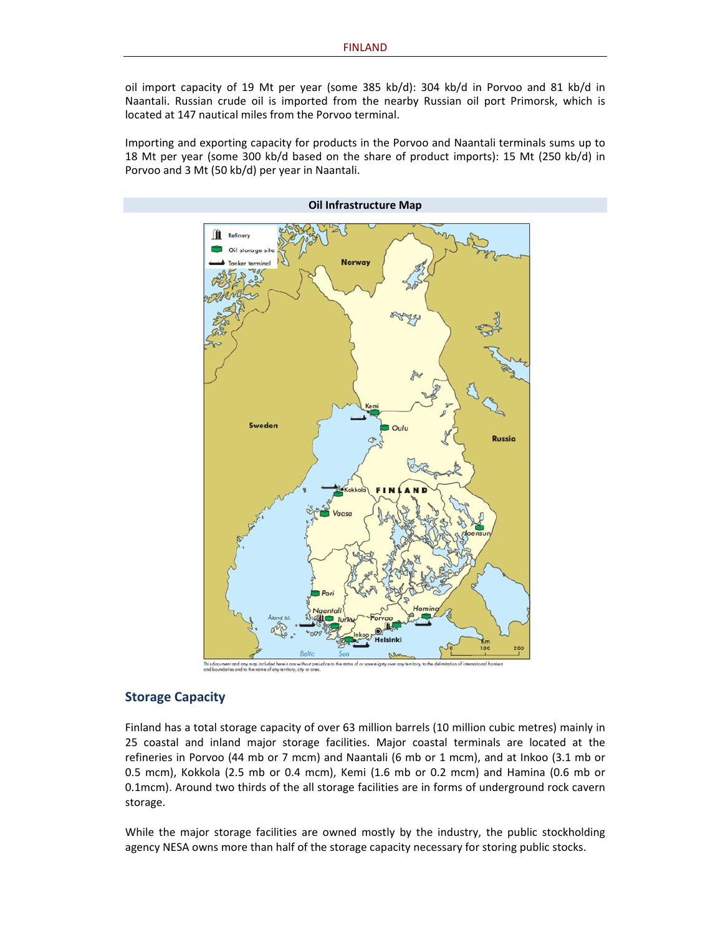oil import capacity of 19 Mt per year (some 385 kb/d): 304 kb/d in Porvoo and 81 kb/d in Naantali. Russian crude oil is imported from the nearby Russian oil port Primorsk, which is located at 147 nautical miles from the Porvoo terminal.

Importing and exporting capacity for products in the Porvoo and Naantali terminals sums up to 18 Mt per year (some 300 kb/d based on the share of product imports): 15 Mt (250 kb/d) in Porvoo and 3 Mt (50 kb/d) per year in Naantali.



#### **Storage Capacity**

Finland has a total storage capacity of over 63 million barrels (10 million cubic metres) mainly in 25 coastal and inland major storage facilities. Major coastal terminals are located at the refineries in Porvoo (44 mb or 7 mcm) and Naantali (6 mb or 1 mcm), and at Inkoo (3.1 mb or 0.5 mcm), Kokkola (2.5 mb or 0.4 mcm), Kemi (1.6 mb or 0.2 mcm) and Hamina (0.6 mb or 0.1mcm). Around two thirds of the all storage facilities are in forms of underground rock cavern storage.

While the major storage facilities are owned mostly by the industry, the public stockholding agency NESA owns more than half of the storage capacity necessary for storing public stocks.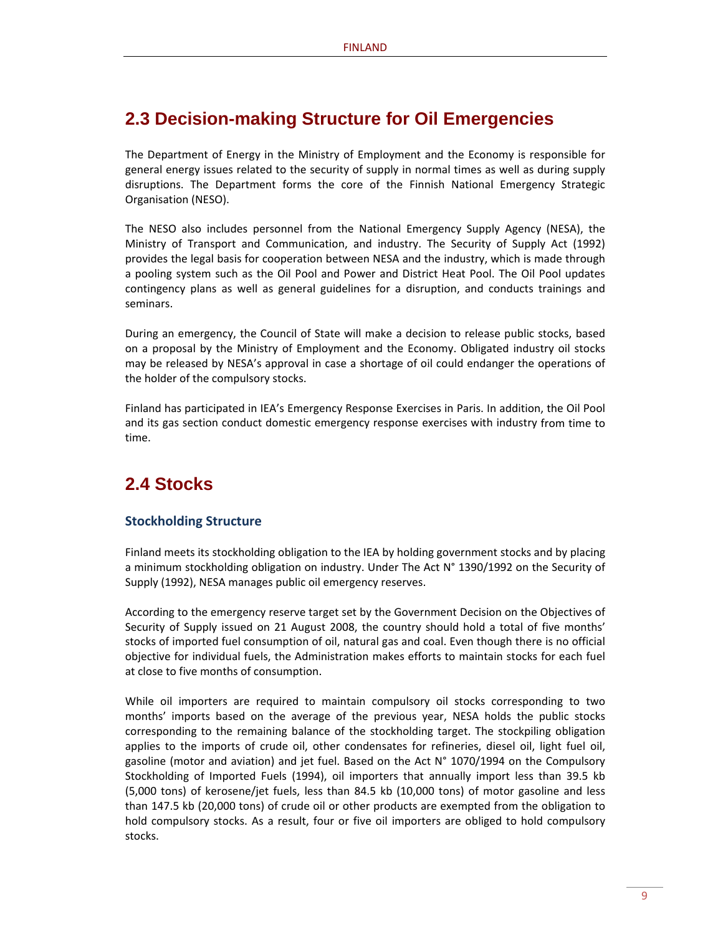### **2.3 Decision-making Structure for Oil Emergencies**

The Department of Energy in the Ministry of Employment and the Economy is responsible for general energy issues related to the security of supply in normal times as well as during supply disruptions. The Department forms the core of the Finnish National Emergency Strategic Organisation (NESO).

The NESO also includes personnel from the National Emergency Supply Agency (NESA), the Ministry of Transport and Communication, and industry. The Security of Supply Act (1992) provides the legal basis for cooperation between NESA and the industry, which is made through a pooling system such as the Oil Pool and Power and District Heat Pool. The Oil Pool updates contingency plans as well as general guidelines for a disruption, and conducts trainings and seminars.

During an emergency, the Council of State will make a decision to release public stocks, based on a proposal by the Ministry of Employment and the Economy. Obligated industry oil stocks may be released by NESA's approval in case a shortage of oil could endanger the operations of the holder of the compulsory stocks.

Finland has participated in IEA's Emergency Response Exercises in Paris. In addition, the Oil Pool and its gas section conduct domestic emergency response exercises with industry from time to time.

### **2.4 Stocks**

#### **Stockholding Structure**

Finland meets its stockholding obligation to the IEA by holding government stocks and by placing a minimum stockholding obligation on industry. Under The Act N° 1390/1992 on the Security of Supply (1992), NESA manages public oil emergency reserves.

According to the emergency reserve target set by the Government Decision on the Objectives of Security of Supply issued on 21 August 2008, the country should hold a total of five months' stocks of imported fuel consumption of oil, natural gas and coal. Even though there is no official objective for individual fuels, the Administration makes efforts to maintain stocks for each fuel at close to five months of consumption.

While oil importers are required to maintain compulsory oil stocks corresponding to two months' imports based on the average of the previous year, NESA holds the public stocks corresponding to the remaining balance of the stockholding target. The stockpiling obligation applies to the imports of crude oil, other condensates for refineries, diesel oil, light fuel oil, gasoline (motor and aviation) and jet fuel. Based on the Act N° 1070/1994 on the Compulsory Stockholding of Imported Fuels (1994), oil importers that annually import less than 39.5 kb (5,000 tons) of kerosene/jet fuels, less than 84.5 kb (10,000 tons) of motor gasoline and less than 147.5 kb (20,000 tons) of crude oil or other products are exempted from the obligation to hold compulsory stocks. As a result, four or five oil importers are obliged to hold compulsory stocks.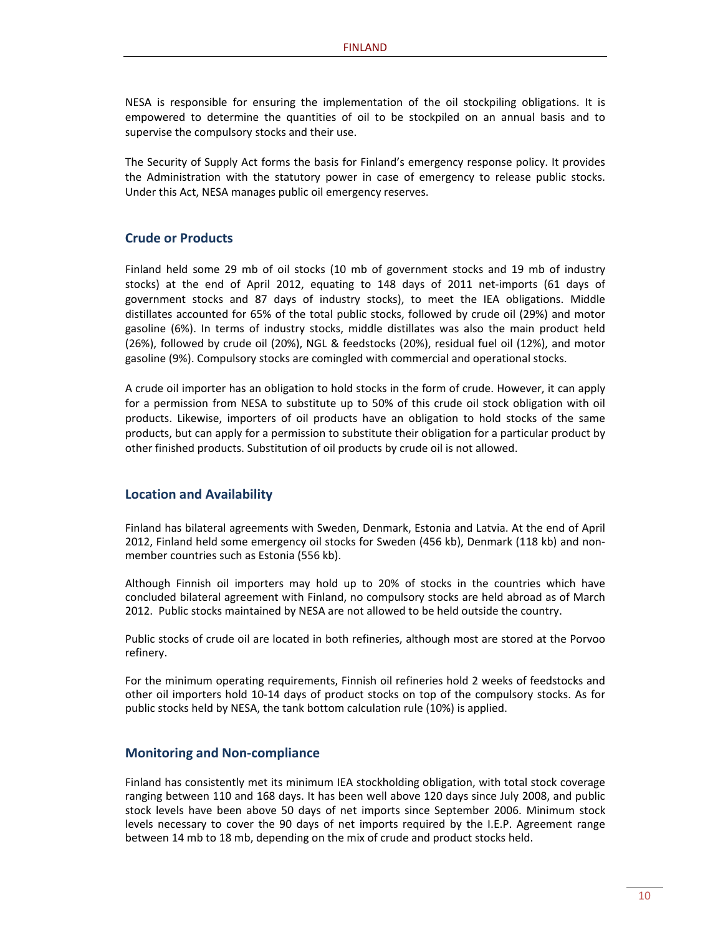NESA is responsible for ensuring the implementation of the oil stockpiling obligations. It is empowered to determine the quantities of oil to be stockpiled on an annual basis and to supervise the compulsory stocks and their use.

The Security of Supply Act forms the basis for Finland's emergency response policy. It provides the Administration with the statutory power in case of emergency to release public stocks. Under this Act, NESA manages public oil emergency reserves.

#### **Crude or Products**

Finland held some 29 mb of oil stocks (10 mb of government stocks and 19 mb of industry stocks) at the end of April 2012, equating to 148 days of 2011 net‐imports (61 days of government stocks and 87 days of industry stocks), to meet the IEA obligations. Middle distillates accounted for 65% of the total public stocks, followed by crude oil (29%) and motor gasoline (6%). In terms of industry stocks, middle distillates was also the main product held (26%), followed by crude oil (20%), NGL & feedstocks (20%), residual fuel oil (12%), and motor gasoline (9%). Compulsory stocks are comingled with commercial and operational stocks.

A crude oil importer has an obligation to hold stocks in the form of crude. However, it can apply for a permission from NESA to substitute up to 50% of this crude oil stock obligation with oil products. Likewise, importers of oil products have an obligation to hold stocks of the same products, but can apply for a permission to substitute their obligation for a particular product by other finished products. Substitution of oil products by crude oil is not allowed.

#### **Location and Availability**

Finland has bilateral agreements with Sweden, Denmark, Estonia and Latvia. At the end of April 2012, Finland held some emergency oil stocks for Sweden (456 kb), Denmark (118 kb) and non‐ member countries such as Estonia (556 kb).

Although Finnish oil importers may hold up to 20% of stocks in the countries which have concluded bilateral agreement with Finland, no compulsory stocks are held abroad as of March 2012. Public stocks maintained by NESA are not allowed to be held outside the country.

Public stocks of crude oil are located in both refineries, although most are stored at the Porvoo refinery.

For the minimum operating requirements, Finnish oil refineries hold 2 weeks of feedstocks and other oil importers hold 10‐14 days of product stocks on top of the compulsory stocks. As for public stocks held by NESA, the tank bottom calculation rule (10%) is applied.

#### **Monitoring and Non‐compliance**

Finland has consistently met its minimum IEA stockholding obligation, with total stock coverage ranging between 110 and 168 days. It has been well above 120 days since July 2008, and public stock levels have been above 50 days of net imports since September 2006. Minimum stock levels necessary to cover the 90 days of net imports required by the I.E.P. Agreement range between 14 mb to 18 mb, depending on the mix of crude and product stocks held.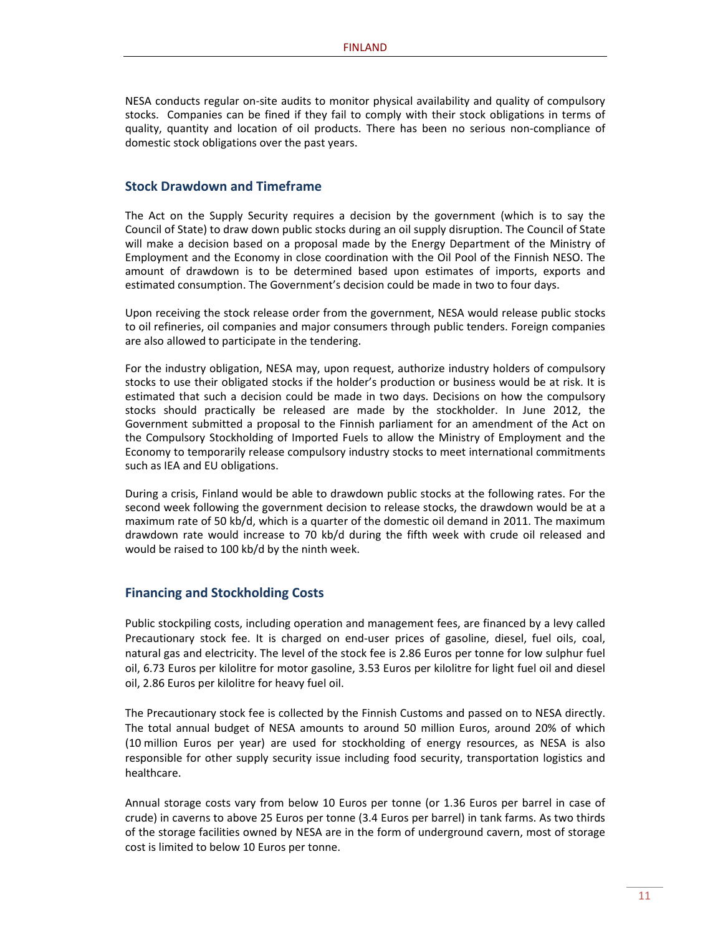NESA conducts regular on‐site audits to monitor physical availability and quality of compulsory stocks. Companies can be fined if they fail to comply with their stock obligations in terms of quality, quantity and location of oil products. There has been no serious non‐compliance of domestic stock obligations over the past years.

#### **Stock Drawdown and Timeframe**

The Act on the Supply Security requires a decision by the government (which is to say the Council of State) to draw down public stocks during an oil supply disruption. The Council of State will make a decision based on a proposal made by the Energy Department of the Ministry of Employment and the Economy in close coordination with the Oil Pool of the Finnish NESO. The amount of drawdown is to be determined based upon estimates of imports, exports and estimated consumption. The Government's decision could be made in two to four days.

Upon receiving the stock release order from the government, NESA would release public stocks to oil refineries, oil companies and major consumers through public tenders. Foreign companies are also allowed to participate in the tendering.

For the industry obligation, NESA may, upon request, authorize industry holders of compulsory stocks to use their obligated stocks if the holder's production or business would be at risk. It is estimated that such a decision could be made in two days. Decisions on how the compulsory stocks should practically be released are made by the stockholder. In June 2012, the Government submitted a proposal to the Finnish parliament for an amendment of the Act on the Compulsory Stockholding of Imported Fuels to allow the Ministry of Employment and the Economy to temporarily release compulsory industry stocks to meet international commitments such as IEA and EU obligations.

During a crisis, Finland would be able to drawdown public stocks at the following rates. For the second week following the government decision to release stocks, the drawdown would be at a maximum rate of 50 kb/d, which is a quarter of the domestic oil demand in 2011. The maximum drawdown rate would increase to 70 kb/d during the fifth week with crude oil released and would be raised to 100 kb/d by the ninth week.

#### **Financing and Stockholding Costs**

Public stockpiling costs, including operation and management fees, are financed by a levy called Precautionary stock fee. It is charged on end-user prices of gasoline, diesel, fuel oils, coal, natural gas and electricity. The level of the stock fee is 2.86 Euros per tonne for low sulphur fuel oil, 6.73 Euros per kilolitre for motor gasoline, 3.53 Euros per kilolitre for light fuel oil and diesel oil, 2.86 Euros per kilolitre for heavy fuel oil.

The Precautionary stock fee is collected by the Finnish Customs and passed on to NESA directly. The total annual budget of NESA amounts to around 50 million Euros, around 20% of which (10 million Euros per year) are used for stockholding of energy resources, as NESA is also responsible for other supply security issue including food security, transportation logistics and healthcare.

Annual storage costs vary from below 10 Euros per tonne (or 1.36 Euros per barrel in case of crude) in caverns to above 25 Euros per tonne (3.4 Euros per barrel) in tank farms. As two thirds of the storage facilities owned by NESA are in the form of underground cavern, most of storage cost is limited to below 10 Euros per tonne.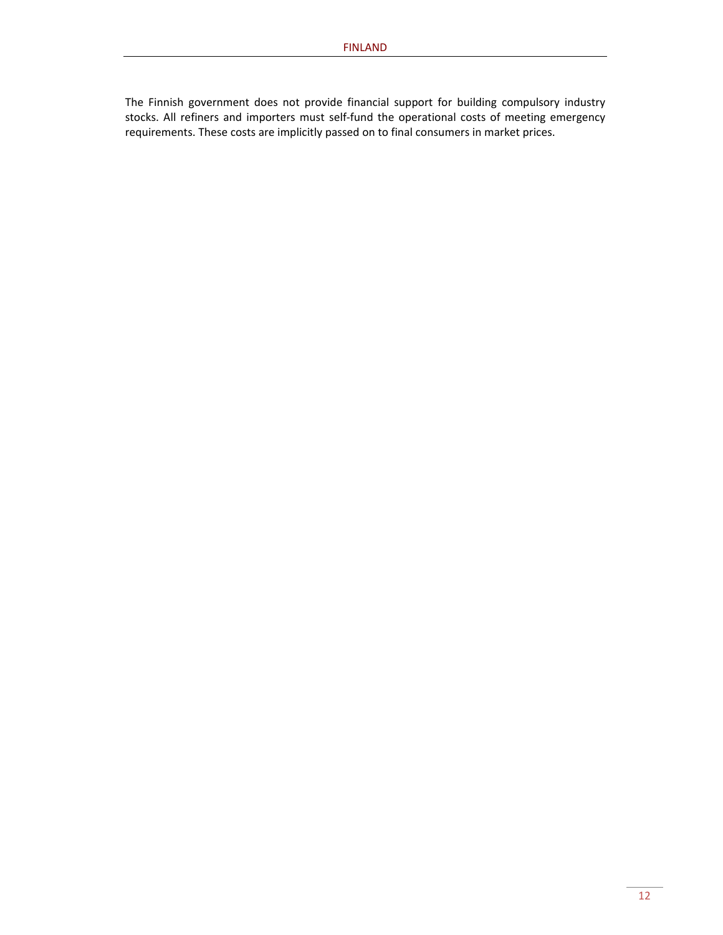The Finnish government does not provide financial support for building compulsory industry stocks. All refiners and importers must self‐fund the operational costs of meeting emergency requirements. These costs are implicitly passed on to final consumers in market prices.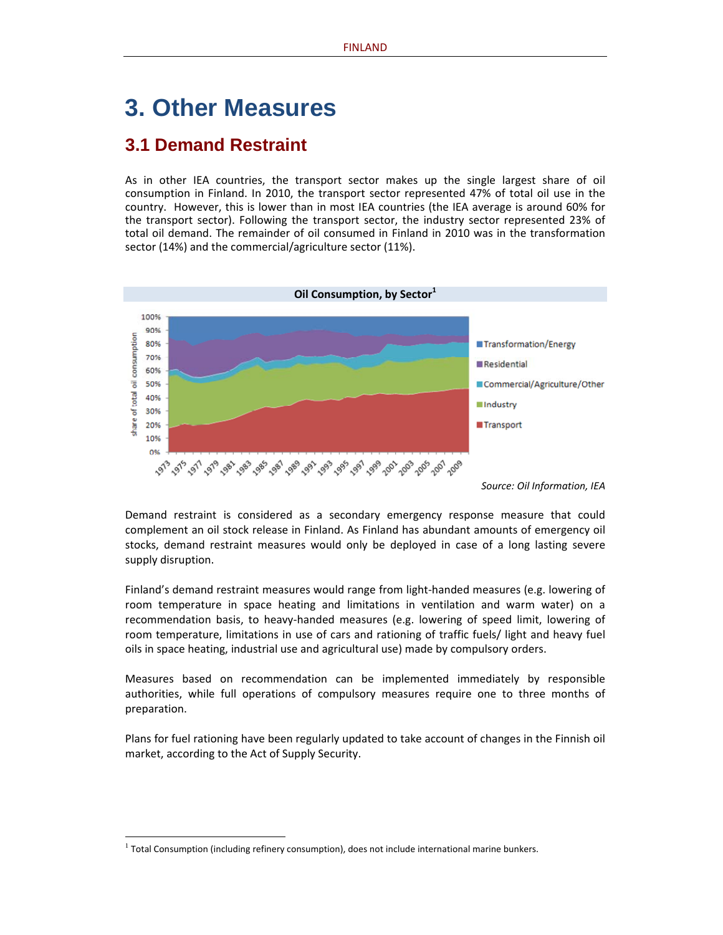# **3. Other Measures**

### **3.1 Demand Restraint**

As in other IEA countries, the transport sector makes up the single largest share of oil consumption in Finland. In 2010, the transport sector represented 47% of total oil use in the country. However, this is lower than in most IEA countries (the IEA average is around 60% for the transport sector). Following the transport sector, the industry sector represented 23% of total oil demand. The remainder of oil consumed in Finland in 2010 was in the transformation sector (14%) and the commercial/agriculture sector (11%).



*Source: Oil Information, IEA*

Demand restraint is considered as a secondary emergency response measure that could complement an oil stock release in Finland. As Finland has abundant amounts of emergency oil stocks, demand restraint measures would only be deployed in case of a long lasting severe supply disruption.

Finland's demand restraint measures would range from light‐handed measures (e.g. lowering of room temperature in space heating and limitations in ventilation and warm water) on a recommendation basis, to heavy‐handed measures (e.g. lowering of speed limit, lowering of room temperature, limitations in use of cars and rationing of traffic fuels/ light and heavy fuel oils in space heating, industrial use and agricultural use) made by compulsory orders.

Measures based on recommendation can be implemented immediately by responsible authorities, while full operations of compulsory measures require one to three months of preparation.

Plans for fuel rationing have been regularly updated to take account of changes in the Finnish oil market, according to the Act of Supply Security.

 $<sup>1</sup>$  Total Consumption (including refinery consumption), does not include international marine bunkers.</sup>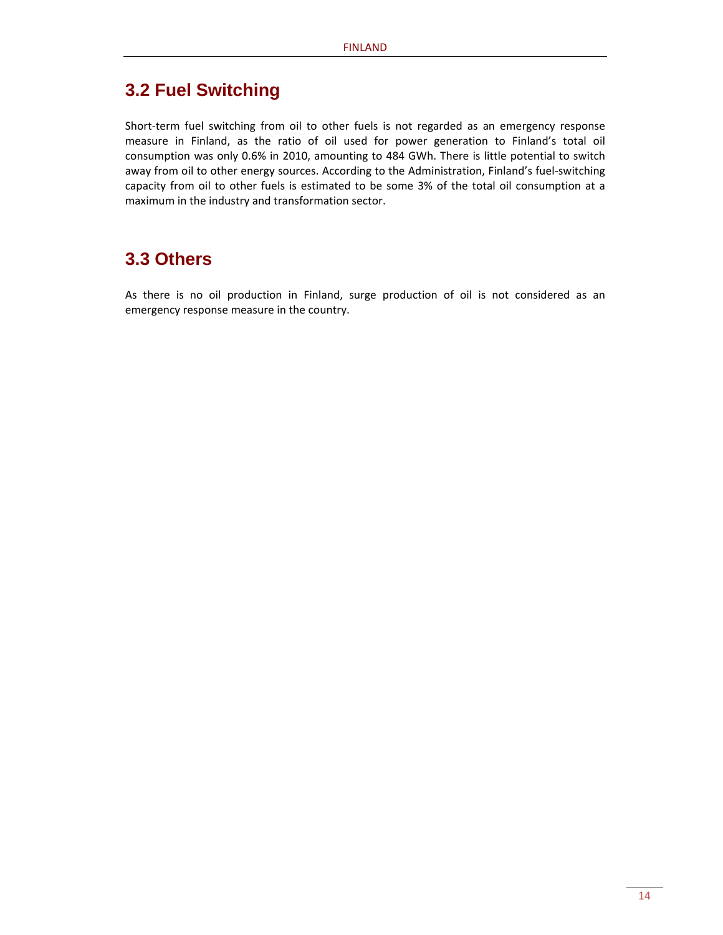### **3.2 Fuel Switching**

Short-term fuel switching from oil to other fuels is not regarded as an emergency response measure in Finland, as the ratio of oil used for power generation to Finland's total oil consumption was only 0.6% in 2010, amounting to 484 GWh. There is little potential to switch away from oil to other energy sources. According to the Administration, Finland's fuel‐switching capacity from oil to other fuels is estimated to be some 3% of the total oil consumption at a maximum in the industry and transformation sector.

### **3.3 Others**

As there is no oil production in Finland, surge production of oil is not considered as an emergency response measure in the country.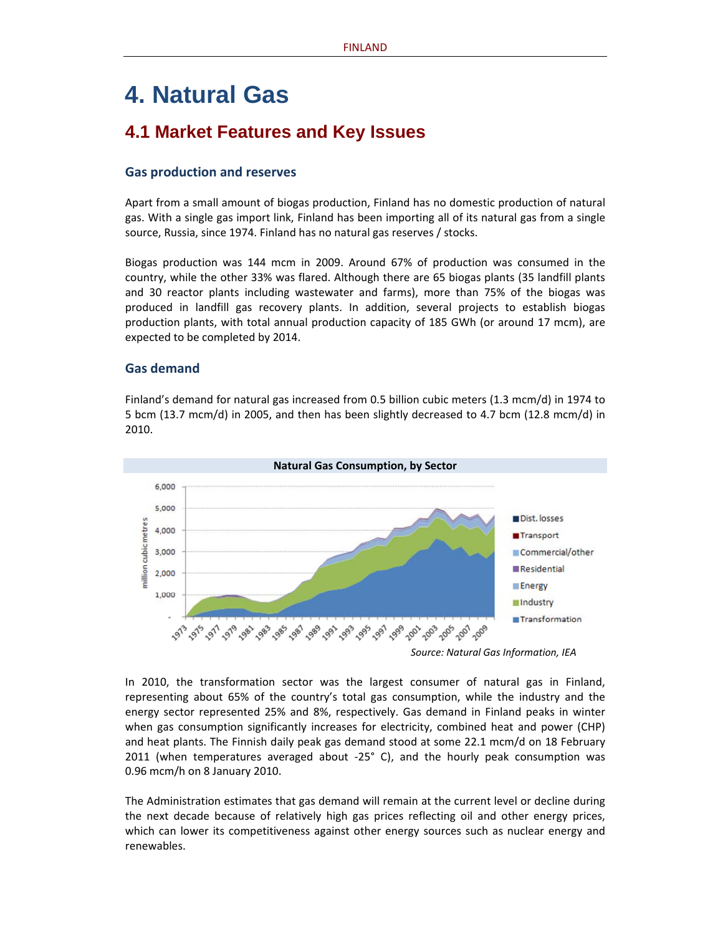# **4. Natural Gas**

### **4.1 Market Features and Key Issues**

#### **Gas production and reserves**

Apart from a small amount of biogas production, Finland has no domestic production of natural gas. With a single gas import link, Finland has been importing all of its natural gas from a single source, Russia, since 1974. Finland has no natural gas reserves / stocks.

Biogas production was 144 mcm in 2009. Around 67% of production was consumed in the country, while the other 33% was flared. Although there are 65 biogas plants (35 landfill plants and 30 reactor plants including wastewater and farms), more than 75% of the biogas was produced in landfill gas recovery plants. In addition, several projects to establish biogas production plants, with total annual production capacity of 185 GWh (or around 17 mcm), are expected to be completed by 2014.

#### **Gas demand**

Finland's demand for natural gas increased from 0.5 billion cubic meters (1.3 mcm/d) in 1974 to 5 bcm (13.7 mcm/d) in 2005, and then has been slightly decreased to 4.7 bcm (12.8 mcm/d) in 2010.



*Source: Natural Gas Information, IEA*

In 2010, the transformation sector was the largest consumer of natural gas in Finland, representing about 65% of the country's total gas consumption, while the industry and the energy sector represented 25% and 8%, respectively. Gas demand in Finland peaks in winter when gas consumption significantly increases for electricity, combined heat and power (CHP) and heat plants. The Finnish daily peak gas demand stood at some 22.1 mcm/d on 18 February 2011 (when temperatures averaged about ‐25° C), and the hourly peak consumption was 0.96 mcm/h on 8 January 2010.

The Administration estimates that gas demand will remain at the current level or decline during the next decade because of relatively high gas prices reflecting oil and other energy prices, which can lower its competitiveness against other energy sources such as nuclear energy and renewables.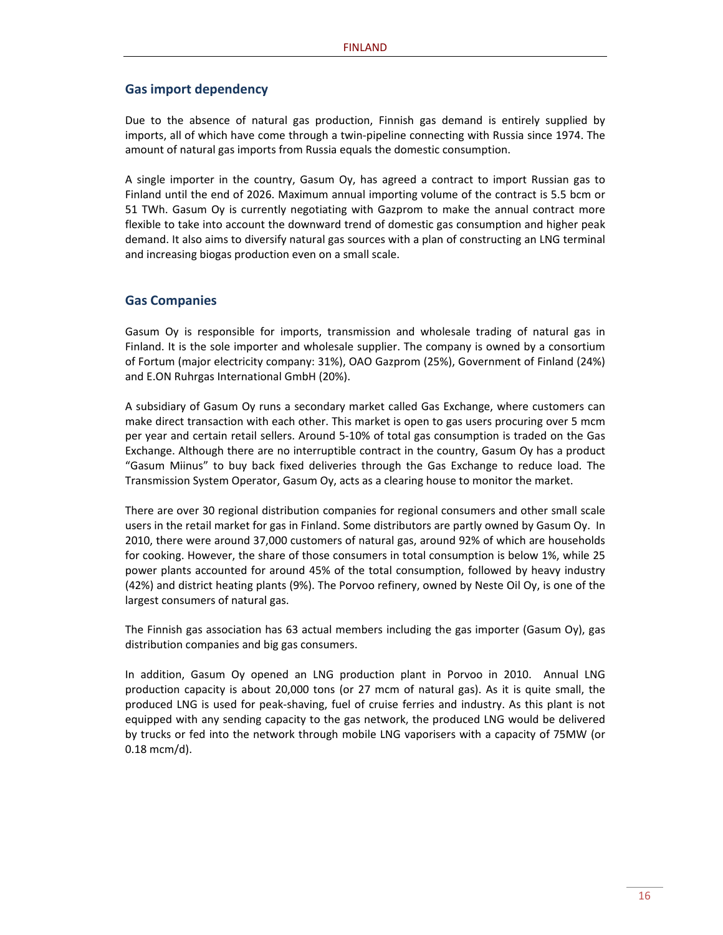#### **Gas import dependency**

Due to the absence of natural gas production, Finnish gas demand is entirely supplied by imports, all of which have come through a twin-pipeline connecting with Russia since 1974. The amount of natural gas imports from Russia equals the domestic consumption.

A single importer in the country, Gasum Oy, has agreed a contract to import Russian gas to Finland until the end of 2026. Maximum annual importing volume of the contract is 5.5 bcm or 51 TWh. Gasum Oy is currently negotiating with Gazprom to make the annual contract more flexible to take into account the downward trend of domestic gas consumption and higher peak demand. It also aims to diversify natural gas sources with a plan of constructing an LNG terminal and increasing biogas production even on a small scale.

#### **Gas Companies**

Gasum Oy is responsible for imports, transmission and wholesale trading of natural gas in Finland. It is the sole importer and wholesale supplier. The company is owned by a consortium of Fortum (major electricity company: 31%), OAO Gazprom (25%), Government of Finland (24%) and E.ON Ruhrgas International GmbH (20%).

A subsidiary of Gasum Oy runs a secondary market called Gas Exchange, where customers can make direct transaction with each other. This market is open to gas users procuring over 5 mcm per year and certain retail sellers. Around 5‐10% of total gas consumption is traded on the Gas Exchange. Although there are no interruptible contract in the country, Gasum Oy has a product "Gasum Miinus" to buy back fixed deliveries through the Gas Exchange to reduce load. The Transmission System Operator, Gasum Oy, acts as a clearing house to monitor the market.

There are over 30 regional distribution companies for regional consumers and other small scale users in the retail market for gas in Finland. Some distributors are partly owned by Gasum Oy. In 2010, there were around 37,000 customers of natural gas, around 92% of which are households for cooking. However, the share of those consumers in total consumption is below 1%, while 25 power plants accounted for around 45% of the total consumption, followed by heavy industry (42%) and district heating plants (9%). The Porvoo refinery, owned by Neste Oil Oy, is one of the largest consumers of natural gas.

The Finnish gas association has 63 actual members including the gas importer (Gasum Oy), gas distribution companies and big gas consumers.

In addition, Gasum Oy opened an LNG production plant in Porvoo in 2010. Annual LNG production capacity is about 20,000 tons (or 27 mcm of natural gas). As it is quite small, the produced LNG is used for peak‐shaving, fuel of cruise ferries and industry. As this plant is not equipped with any sending capacity to the gas network, the produced LNG would be delivered by trucks or fed into the network through mobile LNG vaporisers with a capacity of 75MW (or 0.18 mcm/d).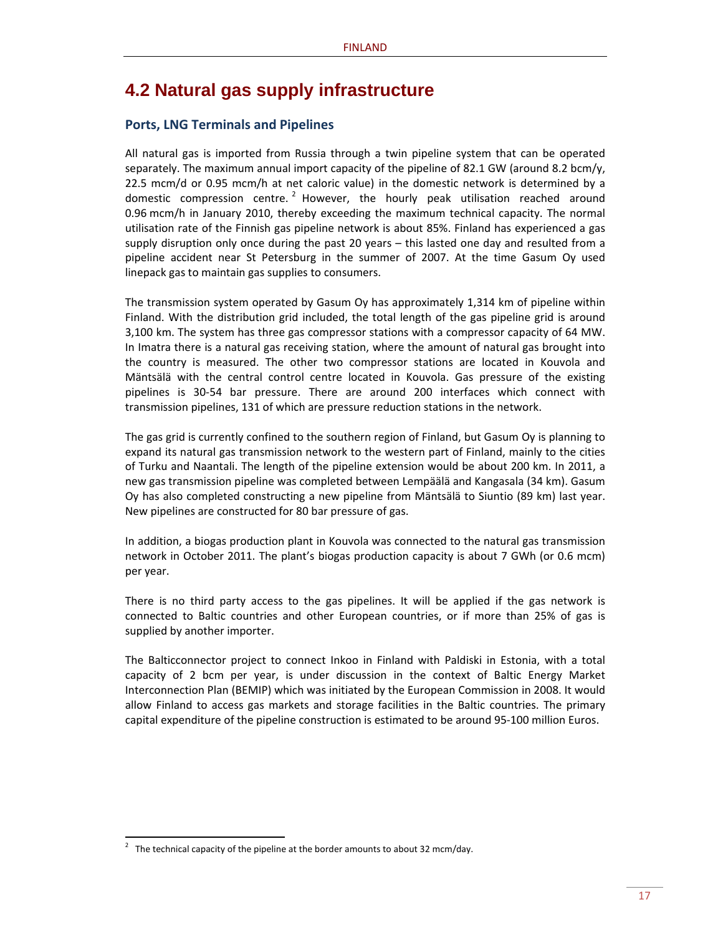### **4.2 Natural gas supply infrastructure**

#### **Ports, LNG Terminals and Pipelines**

All natural gas is imported from Russia through a twin pipeline system that can be operated separately. The maximum annual import capacity of the pipeline of 82.1 GW (around 8.2 bcm/y, 22.5 mcm/d or 0.95 mcm/h at net caloric value) in the domestic network is determined by a domestic compression centre.  $2^2$  However, the hourly peak utilisation reached around 0.96 mcm/h in January 2010, thereby exceeding the maximum technical capacity. The normal utilisation rate of the Finnish gas pipeline network is about 85%. Finland has experienced a gas supply disruption only once during the past 20 years – this lasted one day and resulted from a pipeline accident near St Petersburg in the summer of 2007. At the time Gasum Oy used linepack gas to maintain gas supplies to consumers.

The transmission system operated by Gasum Oy has approximately 1,314 km of pipeline within Finland. With the distribution grid included, the total length of the gas pipeline grid is around 3,100 km. The system has three gas compressor stations with a compressor capacity of 64 MW. In Imatra there is a natural gas receiving station, where the amount of natural gas brought into the country is measured. The other two compressor stations are located in Kouvola and Mäntsälä with the central control centre located in Kouvola. Gas pressure of the existing pipelines is 30‐54 bar pressure. There are around 200 interfaces which connect with transmission pipelines, 131 of which are pressure reduction stations in the network.

The gas grid is currently confined to the southern region of Finland, but Gasum Oy is planning to expand its natural gas transmission network to the western part of Finland, mainly to the cities of Turku and Naantali. The length of the pipeline extension would be about 200 km. In 2011, a new gas transmission pipeline was completed between Lempäälä and Kangasala (34 km). Gasum Oy has also completed constructing a new pipeline from Mäntsälä to Siuntio (89 km) last year. New pipelines are constructed for 80 bar pressure of gas.

In addition, a biogas production plant in Kouvola was connected to the natural gas transmission network in October 2011. The plant's biogas production capacity is about 7 GWh (or 0.6 mcm) per year.

There is no third party access to the gas pipelines. It will be applied if the gas network is connected to Baltic countries and other European countries, or if more than 25% of gas is supplied by another importer.

The Balticconnector project to connect Inkoo in Finland with Paldiski in Estonia, with a total capacity of 2 bcm per year, is under discussion in the context of Baltic Energy Market Interconnection Plan (BEMIP) which was initiated by the European Commission in 2008. It would allow Finland to access gas markets and storage facilities in the Baltic countries. The primary capital expenditure of the pipeline construction is estimated to be around 95-100 million Euros.

<sup>2</sup> The technical capacity of the pipeline at the border amounts to about 32 mcm/day.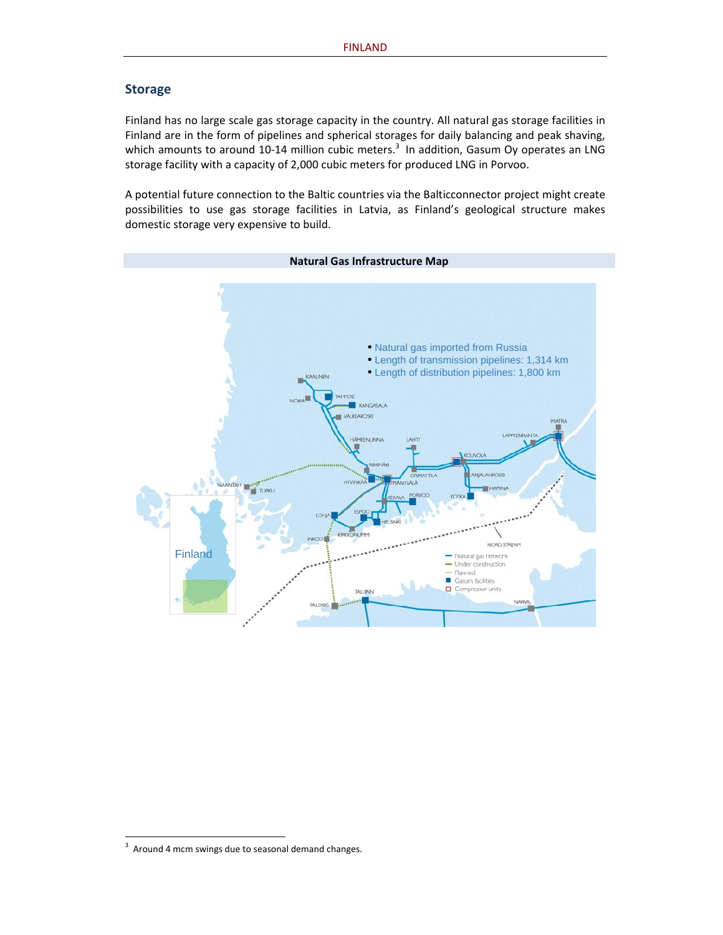#### **Storage**

Finland has no large scale gas storage capacity in the country. All natural gas storage facilities in Finland are in the form of pipelines and spherical storages for daily balancing and peak shaving, which amounts to around 10-14 million cubic meters.<sup>3</sup> In addition, Gasum Oy operates an LNG storage facility with a capacity of 2,000 cubic meters for produced LNG in Porvoo.

A potential future connection to the Baltic countries via the Balticconnector project might create possibilities to use gas storage facilities in Latvia, as Finland's geological structure makes domestic storage very expensive to build.



**Natural Gas Infrastructure Map**

 $3$  Around 4 mcm swings due to seasonal demand changes.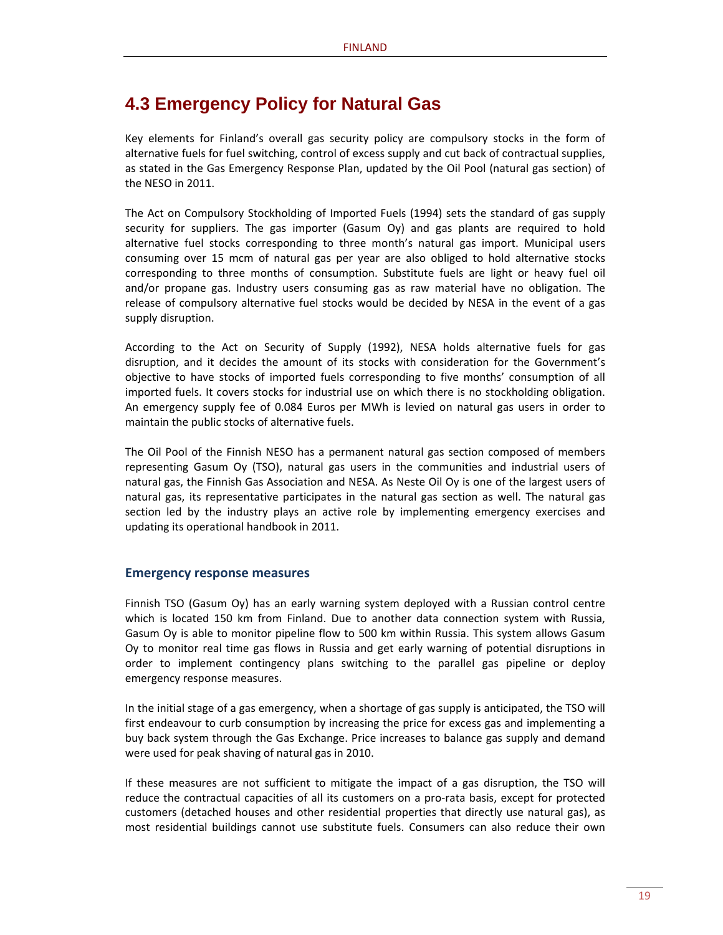### **4.3 Emergency Policy for Natural Gas**

Key elements for Finland's overall gas security policy are compulsory stocks in the form of alternative fuels for fuel switching, control of excess supply and cut back of contractual supplies, as stated in the Gas Emergency Response Plan, updated by the Oil Pool (natural gas section) of the NESO in 2011.

The Act on Compulsory Stockholding of Imported Fuels (1994) sets the standard of gas supply security for suppliers. The gas importer (Gasum Oy) and gas plants are required to hold alternative fuel stocks corresponding to three month's natural gas import. Municipal users consuming over 15 mcm of natural gas per year are also obliged to hold alternative stocks corresponding to three months of consumption. Substitute fuels are light or heavy fuel oil and/or propane gas. Industry users consuming gas as raw material have no obligation. The release of compulsory alternative fuel stocks would be decided by NESA in the event of a gas supply disruption.

According to the Act on Security of Supply (1992), NESA holds alternative fuels for gas disruption, and it decides the amount of its stocks with consideration for the Government's objective to have stocks of imported fuels corresponding to five months' consumption of all imported fuels. It covers stocks for industrial use on which there is no stockholding obligation. An emergency supply fee of 0.084 Euros per MWh is levied on natural gas users in order to maintain the public stocks of alternative fuels.

The Oil Pool of the Finnish NESO has a permanent natural gas section composed of members representing Gasum Oy (TSO), natural gas users in the communities and industrial users of natural gas, the Finnish Gas Association and NESA. As Neste Oil Oy is one of the largest users of natural gas, its representative participates in the natural gas section as well. The natural gas section led by the industry plays an active role by implementing emergency exercises and updating its operational handbook in 2011.

#### **Emergency response measures**

Finnish TSO (Gasum Oy) has an early warning system deployed with a Russian control centre which is located 150 km from Finland. Due to another data connection system with Russia, Gasum Oy is able to monitor pipeline flow to 500 km within Russia. This system allows Gasum Oy to monitor real time gas flows in Russia and get early warning of potential disruptions in order to implement contingency plans switching to the parallel gas pipeline or deploy emergency response measures.

In the initial stage of a gas emergency, when a shortage of gas supply is anticipated, the TSO will first endeavour to curb consumption by increasing the price for excess gas and implementing a buy back system through the Gas Exchange. Price increases to balance gas supply and demand were used for peak shaving of natural gas in 2010.

If these measures are not sufficient to mitigate the impact of a gas disruption, the TSO will reduce the contractual capacities of all its customers on a pro-rata basis, except for protected customers (detached houses and other residential properties that directly use natural gas), as most residential buildings cannot use substitute fuels. Consumers can also reduce their own